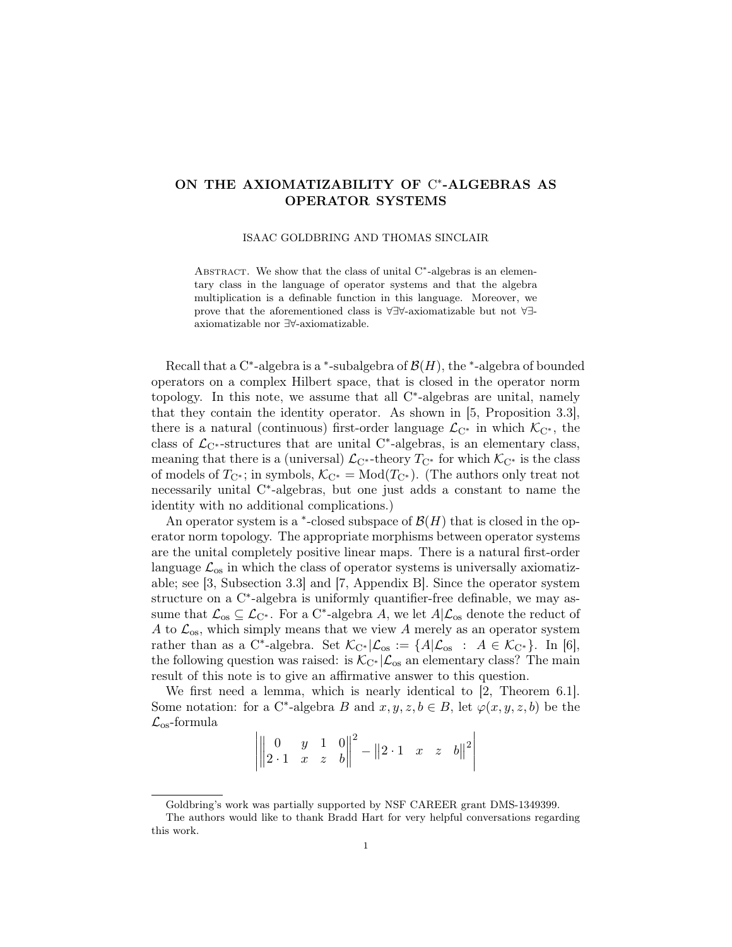## ON THE AXIOMATIZABILITY OF C\*-ALGEBRAS AS OPERATOR SYSTEMS

ISAAC GOLDBRING AND THOMAS SINCLAIR

ABSTRACT. We show that the class of unital  $C^*$ -algebras is an elementary class in the language of operator systems and that the algebra multiplication is a definable function in this language. Moreover, we prove that the aforementioned class is ∀∃∀-axiomatizable but not ∀∃ axiomatizable nor ∃∀-axiomatizable.

Recall that a C<sup>\*</sup>-algebra is a <sup>\*</sup>-subalgebra of  $\mathcal{B}(H)$ , the <sup>\*</sup>-algebra of bounded operators on a complex Hilbert space, that is closed in the operator norm topology. In this note, we assume that all C<sup>\*</sup>-algebras are unital, namely that they contain the identity operator. As shown in [5, Proposition 3.3], there is a natural (continuous) first-order language  $\mathcal{L}_{C^*}$  in which  $\mathcal{K}_{C^*}$ , the class of  $\mathcal{L}_{C^*}$ -structures that are unital  $C^*$ -algebras, is an elementary class, meaning that there is a (universal)  $\mathcal{L}_{C^*}$ -theory  $T_{C^*}$  for which  $\mathcal{K}_{C^*}$  is the class of models of  $T_{\mathbb{C}^*}$ ; in symbols,  $\mathcal{K}_{\mathbb{C}^*} = \text{Mod}(T_{\mathbb{C}^*})$ . (The authors only treat not necessarily unital C ∗ -algebras, but one just adds a constant to name the identity with no additional complications.)

An operator system is a  $*$ -closed subspace of  $\mathcal{B}(H)$  that is closed in the operator norm topology. The appropriate morphisms between operator systems are the unital completely positive linear maps. There is a natural first-order language  $\mathcal{L}_{\text{os}}$  in which the class of operator systems is universally axiomatizable; see [3, Subsection 3.3] and [7, Appendix B]. Since the operator system structure on a C<sup>\*</sup>-algebra is uniformly quantifier-free definable, we may assume that  $\mathcal{L}_{os} \subseteq \mathcal{L}_{C^*}$ . For a C<sup>\*</sup>-algebra A, we let  $A|\mathcal{L}_{os}$  denote the reduct of A to  $\mathcal{L}_{\text{os}}$ , which simply means that we view A merely as an operator system rather than as a C<sup>\*</sup>-algebra. Set  $\mathcal{K}_{C^*}|\mathcal{L}_{os} := \{A|\mathcal{L}_{os} : A \in \mathcal{K}_{C^*}\}\.$  In [6], the following question was raised: is  $\mathcal{K}_{C^*}|\mathcal{L}_{\text{os}}$  an elementary class? The main result of this note is to give an affirmative answer to this question.

We first need a lemma, which is nearly identical to [2, Theorem 6.1]. Some notation: for a C<sup>\*</sup>-algebra B and  $x, y, z, b \in B$ , let  $\varphi(x, y, z, b)$  be the  $\mathcal{L}_{\text{os}}$ -formula

$$
\left| \begin{vmatrix} 0 & y & 1 & 0 \\ 2 \cdot 1 & x & z & b \end{vmatrix} \right|^2 - \left\| 2 \cdot 1 \right\| x \quad z \quad b \left\|^{2} \right|
$$

Goldbring's work was partially supported by NSF CAREER grant DMS-1349399.

The authors would like to thank Bradd Hart for very helpful conversations regarding this work.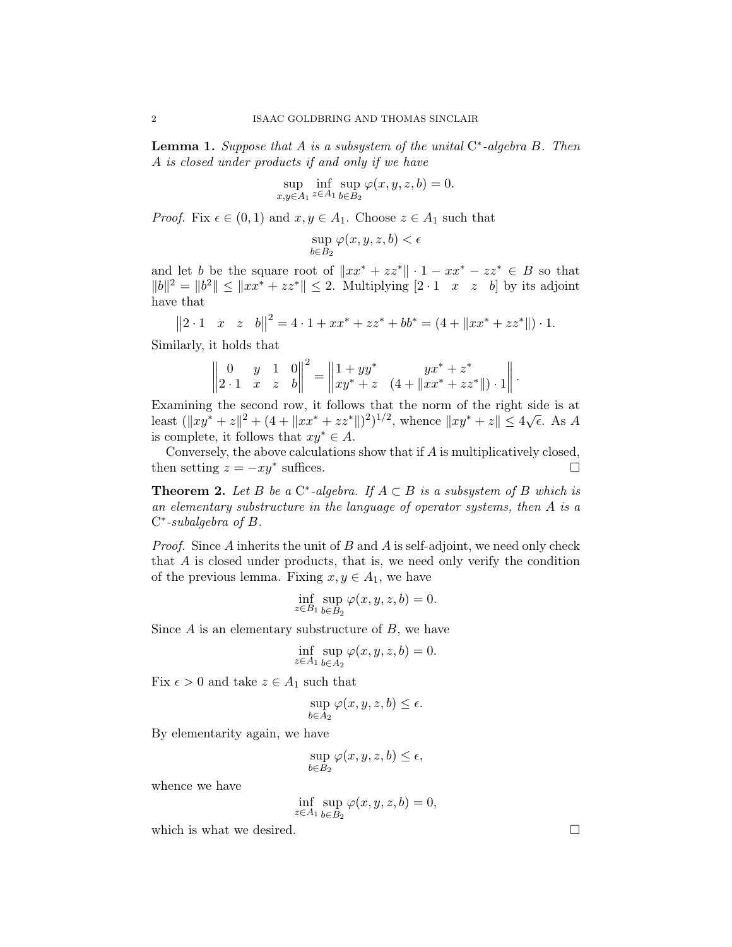**Lemma 1.** Suppose that A is a subsystem of the unital  $C^*$ -algebra B. Then A is closed under products if and only if we have

$$
\sup_{x,y \in A_1} \inf_{z \in A_1} \sup_{b \in B_2} \varphi(x, y, z, b) = 0.
$$

*Proof.* Fix  $\epsilon \in (0,1)$  and  $x, y \in A_1$ . Choose  $z \in A_1$  such that

$$
\sup_{b\in B_2}\varphi(x,y,z,b)<\epsilon
$$

and let b be the square root of  $||xx^* + zz^*|| \cdot 1 - xx^* - zz^* \in B$  so that  $||b||^2 = ||b^2|| \leq ||xx^* + zz^*|| \leq 2$ . Multiplying  $[2 \cdot 1 \quad x \quad z \quad b]$  by its adjoint have that

$$
||2 \cdot 1 \quad x \quad z \quad b||^2 = 4 \cdot 1 + xx^* + zz^* + bb^* = (4 + ||xx^* + zz^*||) \cdot 1.
$$

Similarly, it holds that

$$
\begin{vmatrix} 0 & y & 1 & 0 \\ 2 \cdot 1 & x & z & b \end{vmatrix}^2 = \begin{vmatrix} 1 + yy^* & yx^* + z^* \\ xy^* + z & (4 + \|xx^* + zz^*\|) \cdot 1 \end{vmatrix}.
$$

Examining the second row, it follows that the norm of the right side is at Least  $(\|xy^* + z\|^2 + (4 + \|xx^* + zz^*\|^2)^{1/2}$ , whence  $\|xy^* + z\| \le 4\sqrt{\epsilon}$ . As A is complete, it follows that  $xy^* \in A$ .

Conversely, the above calculations show that if A is multiplicatively closed, then setting  $z = -xy^*$  suffices.

**Theorem 2.** Let B be a  $C^*$ -algebra. If  $A \subset B$  is a subsystem of B which is an elementary substructure in the language of operator systems, then A is a C ∗ -subalgebra of B.

*Proof.* Since A inherits the unit of B and A is self-adjoint, we need only check that A is closed under products, that is, we need only verify the condition of the previous lemma. Fixing  $x, y \in A_1$ , we have

$$
\inf_{z \in B_1} \sup_{b \in B_2} \varphi(x, y, z, b) = 0.
$$

Since  $A$  is an elementary substructure of  $B$ , we have

$$
\inf_{z \in A_1} \sup_{b \in A_2} \varphi(x, y, z, b) = 0.
$$

Fix  $\epsilon > 0$  and take  $z \in A_1$  such that

$$
\sup_{b \in A_2} \varphi(x, y, z, b) \le \epsilon.
$$

By elementarity again, we have

$$
\sup_{b \in B_2} \varphi(x, y, z, b) \le \epsilon,
$$

whence we have

$$
\inf_{z \in A_1} \sup_{b \in B_2} \varphi(x, y, z, b) = 0,
$$

which is what we desired.  $\square$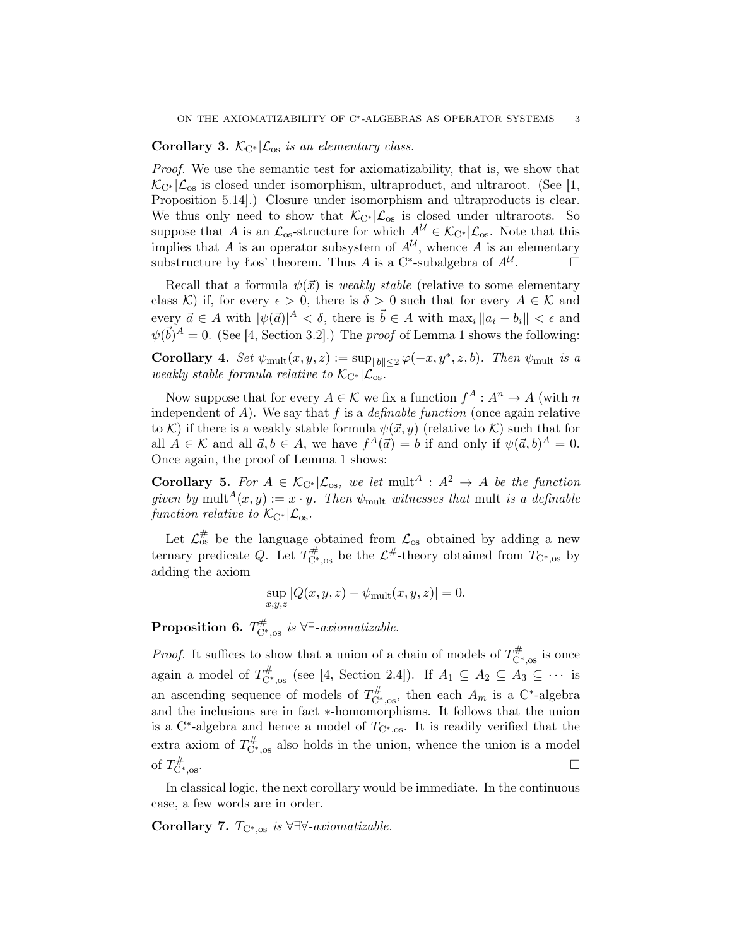### Corollary 3.  $\mathcal{K}_{C^*}|\mathcal{L}_{os}$  is an elementary class.

Proof. We use the semantic test for axiomatizability, that is, we show that  $\mathcal{K}_{C^*}|\mathcal{L}_{\text{os}}$  is closed under isomorphism, ultraproduct, and ultraroot. (See [1, Proposition 5.14].) Closure under isomorphism and ultraproducts is clear. We thus only need to show that  $\mathcal{K}_{C^*}|\mathcal{L}_{\text{os}}$  is closed under ultraroots. So suppose that A is an  $\mathcal{L}_{\text{os}}$ -structure for which  $A^{\mathcal{U}} \in \mathcal{K}_{\text{C}^*}|\mathcal{L}_{\text{os}}$ . Note that this implies that A is an operator subsystem of  $A^{\mathcal{U}}$ , whence A is an elementary substructure by Łos' theorem. Thus A is a C<sup>\*</sup>-subalgebra of  $A^{\mathcal{U}}$  $\Box$ 

Recall that a formula  $\psi(\vec{x})$  is *weakly stable* (relative to some elementary class K) if, for every  $\epsilon > 0$ , there is  $\delta > 0$  such that for every  $A \in \mathcal{K}$  and every  $\vec{a} \in A$  with  $|\psi(\vec{a})|^A < \delta$ , there is  $\vec{b} \in A$  with  $\max_i ||a_i - b_i|| < \epsilon$  and  $\psi(\vec{b})^A = 0$ . (See [4, Section 3.2].) The *proof* of Lemma 1 shows the following:

Corollary 4. Set  $\psi_{\text{mult}}(x, y, z) := \sup_{\|b\| \leq 2} \varphi(-x, y^*, z, b)$ . Then  $\psi_{\text{mult}}$  is a weakly stable formula relative to  $\mathcal{K}_{\mathrm{C}^*}|\mathcal{L}_{\mathrm{os}}$ .

Now suppose that for every  $A \in \mathcal{K}$  we fix a function  $f^A : A^n \to A$  (with n independent of A). We say that f is a *definable function* (once again relative to K) if there is a weakly stable formula  $\psi(\vec{x}, y)$  (relative to K) such that for all  $A \in \mathcal{K}$  and all  $\vec{a}, b \in A$ , we have  $f^A(\vec{a}) = b$  if and only if  $\psi(\vec{a}, b)^A = 0$ . Once again, the proof of Lemma 1 shows:

**Corollary 5.** For  $A \in \mathcal{K}_{C^*}|\mathcal{L}_{\text{os}}$ , we let mult<sup>A</sup> :  $A^2 \rightarrow A$  be the function given by mult<sup>A</sup> $(x, y) := x \cdot y$ . Then  $\psi_{\text{mult}}$  witnesses that mult is a definable function relative to  $\mathcal{K}_{C^*}|\mathcal{L}_{\text{os}}$ .

Let  $\mathcal{L}_{os}^{\#}$  be the language obtained from  $\mathcal{L}_{os}$  obtained by adding a new ternary predicate Q. Let  $T_{\mathcal{C}^*,\text{os}}^{\#}$  be the  $\mathcal{L}^{\#}$ -theory obtained from  $T_{\mathcal{C}^*,\text{os}}$  by adding the axiom

$$
\sup_{x,y,z} |Q(x,y,z) - \psi_{\text{mult}}(x,y,z)| = 0.
$$

**Proposition 6.**  $T_{\text{C}^*,\text{os}}^{\#}$  is  $\forall \exists \text{-}axiomaticable$ .

*Proof.* It suffices to show that a union of a chain of models of  $T_{\mathcal{C}^*,\infty}^{\#}$  is once again a model of  $T_{\mathbb{C}^*,\text{os}}^{\#}$  (see [4, Section 2.4]). If  $A_1 \subseteq A_2 \subseteq A_3 \subseteq \cdots$  is an ascending sequence of models of  $T_{\mathcal{C}^*,\text{os}}^{\#}$ , then each  $A_m$  is a  $\mathcal{C}^*$ -algebra and the inclusions are in fact ∗-homomorphisms. It follows that the union is a C<sup>\*</sup>-algebra and hence a model of  $T_{\rm C*,os}$ . It is readily verified that the extra axiom of  $T_{\text{C}^*,\text{os}}^{\#}$  also holds in the union, whence the union is a model of  $T_{C^*}^{\#}$ <sup>C</sup>∗,os.

In classical logic, the next corollary would be immediate. In the continuous case, a few words are in order.

Corollary 7.  $T_{\text{C}^*,\text{os}}$  is  $\forall \exists \forall \text{-}axiomaticable$ .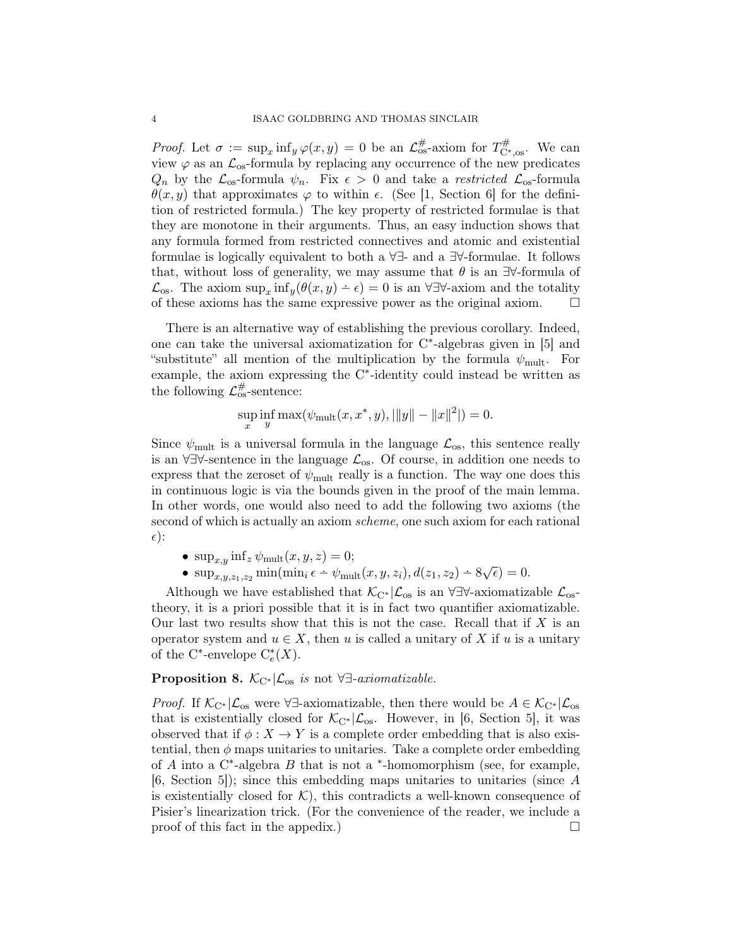*Proof.* Let  $\sigma := \sup_x \inf_y \varphi(x, y) = 0$  be an  $\mathcal{L}_{\text{os}}^{\#}$ -axiom for  $T_{\text{C*,os}}^{\#}$ . We can view  $\varphi$  as an  $\mathcal{L}_{\text{os}}$ -formula by replacing any occurrence of the new predicates  $Q_n$  by the  $\mathcal{L}_{\text{os}}$ -formula  $\psi_n$ . Fix  $\epsilon > 0$  and take a restricted  $\mathcal{L}_{\text{os}}$ -formula  $\theta(x, y)$  that approximates  $\varphi$  to within  $\epsilon$ . (See [1, Section 6] for the definition of restricted formula.) The key property of restricted formulae is that they are monotone in their arguments. Thus, an easy induction shows that any formula formed from restricted connectives and atomic and existential formulae is logically equivalent to both a ∀∃- and a ∃∀-formulae. It follows that, without loss of generality, we may assume that  $\theta$  is an  $\exists\forall$ -formula of  $\mathcal{L}_{\text{os}}$ . The axiom  $\sup_x \inf_y(\theta(x,y) - \epsilon) = 0$  is an  $\forall \exists \forall$ -axiom and the totality of these axioms has the same expressive power as the original axiom.  $\Box$ 

There is an alternative way of establishing the previous corollary. Indeed, one can take the universal axiomatization for C<sup>\*</sup>-algebras given in [5] and "substitute" all mention of the multiplication by the formula  $\psi_{\text{mult}}$ . For example, the axiom expressing the C<sup>\*</sup>-identity could instead be written as the following  $\mathcal{L}_{\text{os}}^{\#}$ -sentence:

$$
\sup_x \inf_y \max(\psi_{\text{mult}}(x, x^*, y), |||y|| - ||x||^2|) = 0.
$$

Since  $\psi_{\text{mult}}$  is a universal formula in the language  $\mathcal{L}_{\text{os}}$ , this sentence really is an ∀∃∀-sentence in the language  $\mathcal{L}_{os}$ . Of course, in addition one needs to express that the zeroset of  $\psi_{\text{mult}}$  really is a function. The way one does this in continuous logic is via the bounds given in the proof of the main lemma. In other words, one would also need to add the following two axioms (the second of which is actually an axiom scheme, one such axiom for each rational  $\epsilon$ ):

- $\sup_{x,y} \inf_z \psi_{\text{mult}}(x, y, z) = 0;$
- sup<sub>x,y,z<sub>1,z<sub>2</sub></sub> min(min<sub>i</sub>  $\epsilon$   $\psi$ <sub>mult</sub>(x, y, z<sub>i</sub>),  $d(z_1, z_2) 8\sqrt{\epsilon}$ ) = 0.</sub>

Although we have established that  $\mathcal{K}_{C^*}|\mathcal{L}_{\text{os}}$  is an  $\forall \exists \forall$ -axiomatizable  $\mathcal{L}_{\text{os}}$ theory, it is a priori possible that it is in fact two quantifier axiomatizable. Our last two results show that this is not the case. Recall that if  $X$  is an operator system and  $u \in X$ , then u is called a unitary of X if u is a unitary of the C<sup>\*</sup>-envelope  $C_e^*(X)$ .

# **Proposition 8.**  $\mathcal{K}_{C^*}|\mathcal{L}_{os}$  is not ∀∃-axiomatizable.

*Proof.* If  $\mathcal{K}_{C^*}|\mathcal{L}_{os}$  were  $\forall \exists$ -axiomatizable, then there would be  $A \in \mathcal{K}_{C^*}|\mathcal{L}_{os}$ that is existentially closed for  $\mathcal{K}_{C^*}|\mathcal{L}_{\text{os}}$ . However, in [6, Section 5], it was observed that if  $\phi: X \to Y$  is a complete order embedding that is also existential, then  $\phi$  maps unitaries to unitaries. Take a complete order embedding of  $A$  into a  $C^*$ -algebra  $B$  that is not a  $*$ -homomorphism (see, for example, [6, Section 5]); since this embedding maps unitaries to unitaries (since A is existentially closed for  $K$ ), this contradicts a well-known consequence of Pisier's linearization trick. (For the convenience of the reader, we include a proof of this fact in the appedix.)  $\Box$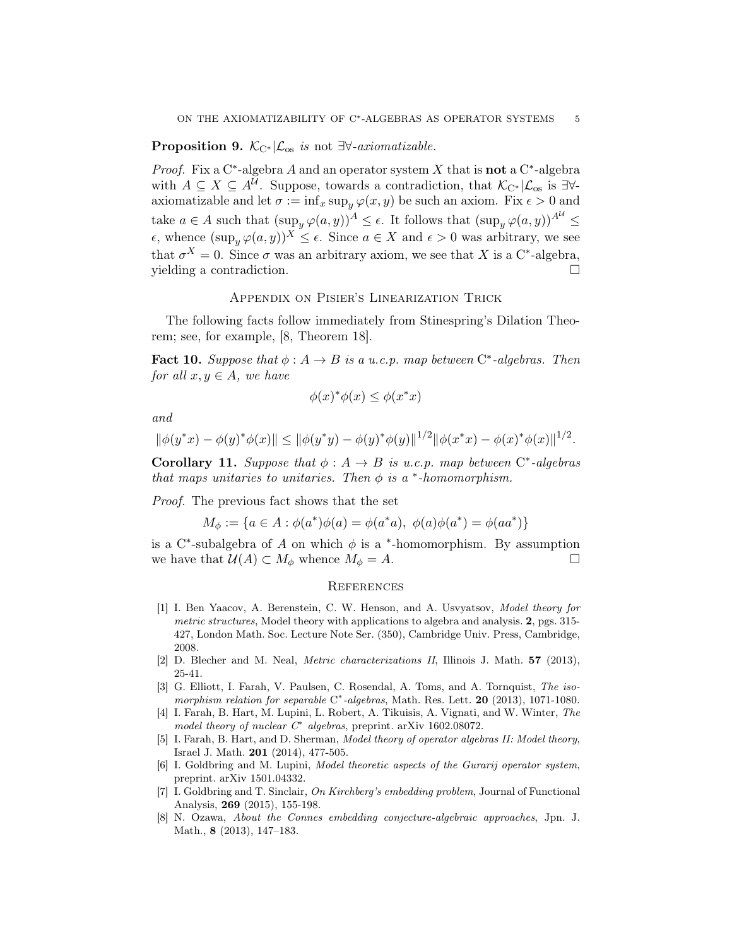### **Proposition 9.**  $\mathcal{K}_{C^*}|\mathcal{L}_{\text{os}}$  is not  $\exists\forall\text{-}axiomaticable$ .

*Proof.* Fix a C<sup>\*</sup>-algebra A and an operator system X that is **not** a C<sup>\*</sup>-algebra with  $A \subseteq X \subseteq A^{\mathcal{U}}$ . Suppose, towards a contradiction, that  $\mathcal{K}_{C^*}|\mathcal{L}_{os}$  is  $\exists \forall$ axiomatizable and let  $\sigma := \inf_x \sup_y \varphi(x, y)$  be such an axiom. Fix  $\epsilon > 0$  and take  $a \in A$  such that  $(\sup_y \varphi(a, y))^A \leq \epsilon$ . It follows that  $(\sup_y \varphi(a, y))^{A^U} \leq$  $\epsilon$ , whence  $(\sup_{u} \varphi(a, y))^X \leq \epsilon$ . Since  $a \in X$  and  $\epsilon > 0$  was arbitrary, we see that  $\sigma^X = 0$ . Since  $\sigma$  was an arbitrary axiom, we see that X is a C<sup>\*</sup>-algebra, yielding a contradiction.

#### Appendix on Pisier's Linearization Trick

The following facts follow immediately from Stinespring's Dilation Theorem; see, for example, [8, Theorem 18].

**Fact 10.** Suppose that  $\phi : A \to B$  is a u.c.p. map between  $C^*$ -algebras. Then for all  $x, y \in A$ , we have

$$
\phi(x)^{*}\phi(x) \le \phi(x^{*}x)
$$

and

$$
\|\phi(y^*x) - \phi(y)^*\phi(x)\| \le \|\phi(y^*y) - \phi(y)^*\phi(y)\|^{1/2} \|\phi(x^*x) - \phi(x)^*\phi(x)\|^{1/2}.
$$

**Corollary 11.** Suppose that  $\phi : A \rightarrow B$  is u.c.p. map between  $C^*$ -algebras that maps unitaries to unitaries. Then  $\phi$  is a  $*$ -homomorphism.

Proof. The previous fact shows that the set

$$
M_{\phi} := \{ a \in A : \phi(a^*)\phi(a) = \phi(a^*a), \ \phi(a)\phi(a^*) = \phi(aa^*) \}
$$

is a C<sup>\*</sup>-subalgebra of A on which  $\phi$  is a <sup>\*</sup>-homomorphism. By assumption we have that  $\mathcal{U}(A) \subset M_{\phi}$  whence  $M_{\phi} = A$ .

#### **REFERENCES**

- [1] I. Ben Yaacov, A. Berenstein, C. W. Henson, and A. Usvyatsov, Model theory for metric structures, Model theory with applications to algebra and analysis. 2, pgs. 315-427, London Math. Soc. Lecture Note Ser. (350), Cambridge Univ. Press, Cambridge, 2008.
- [2] D. Blecher and M. Neal, Metric characterizations II, Illinois J. Math. 57 (2013), 25-41.
- [3] G. Elliott, I. Farah, V. Paulsen, C. Rosendal, A. Toms, and A. Tornquist, The isomorphism relation for separable  $C^*$ -algebras, Math. Res. Lett. 20 (2013), 1071-1080.
- [4] I. Farah, B. Hart, M. Lupini, L. Robert, A. Tikuisis, A. Vignati, and W. Winter, The model theory of nuclear  $C^*$  algebras, preprint. arXiv 1602.08072.
- [5] I. Farah, B. Hart, and D. Sherman, Model theory of operator algebras II: Model theory, Israel J. Math. 201 (2014), 477-505.
- [6] I. Goldbring and M. Lupini, *Model theoretic aspects of the Gurarij operator system*, preprint. arXiv 1501.04332.
- [7] I. Goldbring and T. Sinclair, On Kirchberg's embedding problem, Journal of Functional Analysis, 269 (2015), 155-198.
- [8] N. Ozawa, About the Connes embedding conjecture-algebraic approaches, Jpn. J. Math., 8 (2013), 147–183.